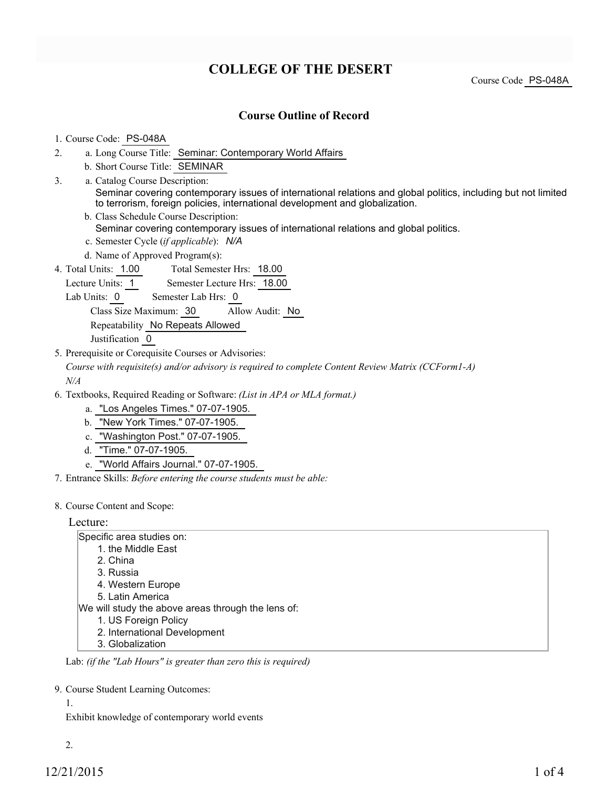# **COLLEGE OF THE DESERT**

Course Code PS-048A

### **Course Outline of Record**

### 1. Course Code: PS-048A

- a. Long Course Title: Seminar: Contemporary World Affairs 2.
	- b. Short Course Title: SEMINAR
- Catalog Course Description: a. Seminar covering contemporary issues of international relations and global politics, including but not limited to terrorism, foreign policies, international development and globalization. 3.
	- b. Class Schedule Course Description: Seminar covering contemporary issues of international relations and global politics.
	- c. Semester Cycle (*if applicable*): *N/A*
	- d. Name of Approved Program(s):
- Total Semester Hrs: 18.00 4. Total Units: 1.00

Lecture Units: 1 Semester Lecture Hrs: 18.00

Lab Units: 0 Semester Lab Hrs: 0

Class Size Maximum: 30 Allow Audit: No

Repeatability No Repeats Allowed

Justification 0

5. Prerequisite or Corequisite Courses or Advisories:

*Course with requisite(s) and/or advisory is required to complete Content Review Matrix (CCForm1-A) N/A*

- Textbooks, Required Reading or Software: *(List in APA or MLA format.)* 6.
	- a. "Los Angeles Times." 07-07-1905.
	- b. "New York Times." 07-07-1905.
	- c. "Washington Post." 07-07-1905.
	- d. "Time." 07-07-1905.
	- e. "World Affairs Journal." 07-07-1905.
- 7. Entrance Skills: *Before entering the course students must be able:*

#### 8. Course Content and Scope:

#### Lecture:

Specific area studies on: 1. the Middle East 2. China 3. Russia 4. Western Europe 5. Latin America We will study the above areas through the lens of: 1. US Foreign Policy 2. International Development 3. Globalization

Lab: *(if the "Lab Hours" is greater than zero this is required)*

9. Course Student Learning Outcomes:

1.

Exhibit knowledge of contemporary world events

2.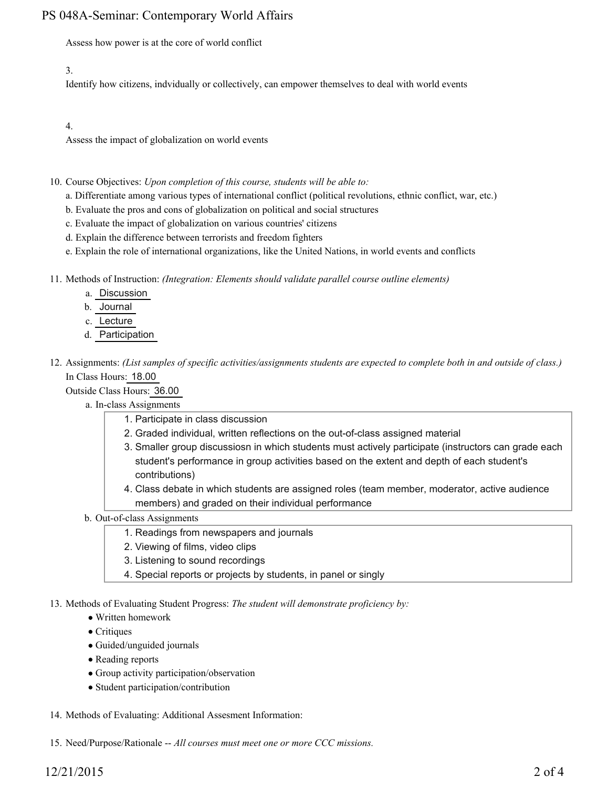## PS 048A-Seminar: Contemporary World Affairs

Assess how power is at the core of world conflict

### 3.

Identify how citizens, indvidually or collectively, can empower themselves to deal with world events

### 4.

Assess the impact of globalization on world events

- 10. Course Objectives: Upon completion of this course, students will be able to:
	- a. Differentiate among various types of international conflict (political revolutions, ethnic conflict, war, etc.)
	- b. Evaluate the pros and cons of globalization on political and social structures
	- c. Evaluate the impact of globalization on various countries' citizens
	- d. Explain the difference between terrorists and freedom fighters
	- e. Explain the role of international organizations, like the United Nations, in world events and conflicts
- Methods of Instruction: *(Integration: Elements should validate parallel course outline elements)* 11.
	- a. Discussion
	- b. Journal
	- c. Lecture
	- d. Participation
- 12. Assignments: (List samples of specific activities/assignments students are expected to complete both in and outside of class.) In Class Hours: 18.00
	- Outside Class Hours: 36.00
		- a. In-class Assignments
			- 1. Participate in class discussion
			- 2. Graded individual, written reflections on the out-of-class assigned material
			- 3. Smaller group discussiosn in which students must actively participate (instructors can grade each student's performance in group activities based on the extent and depth of each student's contributions)
			- Class debate in which students are assigned roles (team member, moderator, active audience 4. members) and graded on their individual performance

### b. Out-of-class Assignments

- 1. Readings from newspapers and journals
- 2. Viewing of films, video clips
- 3. Listening to sound recordings
- 4. Special reports or projects by students, in panel or singly

13. Methods of Evaluating Student Progress: The student will demonstrate proficiency by:

- Written homework
- Critiques
- Guided/unguided journals
- Reading reports
- Group activity participation/observation
- Student participation/contribution
- 14. Methods of Evaluating: Additional Assesment Information:
- 15. Need/Purpose/Rationale -- *All courses must meet one or more CCC missions.*